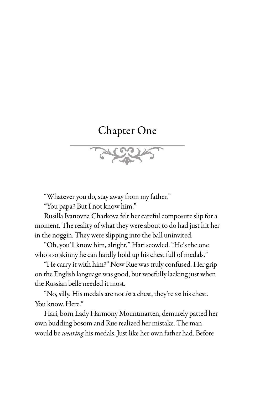## Chapter One

"Whatever you do, stay away from my father."

"You papa? But I not know him."

Rusilla Ivanovna Charkova felt her careful composure slip for a moment. The reality of what they were about to do had just hit her in the noggin. They were slipping into the ball uninvited.

"Oh, you'll know him, alright," Hari scowled. "He's the one who's so skinny he can hardly hold up his chest full of medals."

"He carry it with him?" Now Rue was truly confused. Her grip on the English language was good, but woefully lacking just when the Russian belle needed it most.

"No, silly. His medals are not *in* a chest, they're *on* his chest. You know. Here."

Hari, born Lady Harmony Mountmarten, demurely patted her own budding bosom and Rue realized her mistake. The man would be *wearing* his medals. Just like her own father had. Before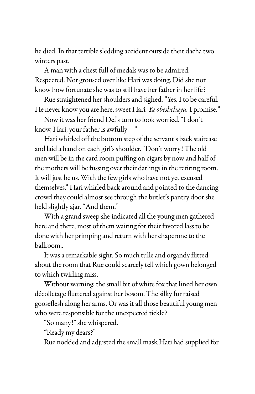he died. In that terrible sledding accident outside their dacha two winters past.

A man with a chest full of medals was to be admired. Respected. Not groused over like Hari was doing. Did she not know how fortunate she was to still have her father in her life?

Rue straightened her shoulders and sighed. "Yes. I to be careful. He never know you are here, sweet Hari. *Ya obeshchayu.* I promise."

Now it was her friend Del's turn to look worried. "I don't know, Hari, your father is awfully—"

Hari whirled off the bottom step of the servant's back staircase and laid a hand on each girl's shoulder. "Don't worry! The old men will be in the card room puffing on cigars by now and half of the mothers will be fussing over their darlings in the retiring room. It will just be us. With the few girls who have not yet excused themselves." Hari whirled back around and pointed to the dancing crowd they could almost see through the butler's pantry door she held slightly ajar. "And them."

With a grand sweep she indicated all the young men gathered here and there, most of them waiting for their favored lass to be done with her primping and return with her chaperone to the ballroom..

It was a remarkable sight. So much tulle and organdy flitted about the room that Rue could scarcely tell which gown belonged to which twirling miss.

Without warning, the small bit of white fox that lined her own décolletage fluttered against her bosom. The silky fur raised gooseflesh along her arms. Or was it all those beautiful young men who were responsible for the unexpected tickle?

"So many!" she whispered.

"Ready my dears?"

Rue nodded and adjusted the small mask Hari had supplied for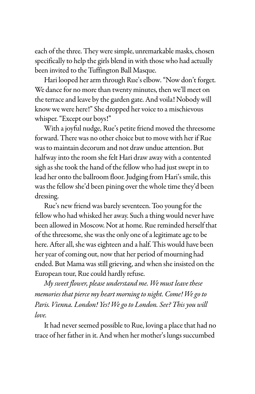each of the three. They were simple, unremarkable masks, chosen specifically to help the girls blend in with those who had actually been invited to the Tuffington Ball Masque.

Hari looped her arm through Rue's elbow. "Now don't forget. We dance for no more than twenty minutes, then we'll meet on the terrace and leave by the garden gate. And voila! Nobody will know we were here!" She dropped her voice to a mischievous whisper. "Except our boys!"

With a joyful nudge, Rue's petite friend moved the threesome forward. There was no other choice but to move with her if Rue was to maintain decorum and not draw undue attention. But halfway into the room she felt Hari draw away with a contented sigh as she took the hand of the fellow who had just swept in to lead her onto the ballroom floor. Judging from Hari's smile, this was the fellow she'd been pining over the whole time they'd been dressing.

Rue's new friend was barely seventeen. Too young for the fellow who had whisked her away. Such a thing would never have been allowed in Moscow. Not at home. Rue reminded herself that of the threesome, she was the only one of a legitimate age to be here. After all, she was eighteen and a half. This would have been her year of coming out, now that her period of mourning had ended. But Mama was still grieving, and when she insisted on the European tour, Rue could hardly refuse.

*My sweet flower, please understand me. We must leave these memories that pierce my heart morning to night. Come! We go to Paris. Vienna. London! Yes! We go to London. See? This you will love.* 

It had never seemed possible to Rue, loving a place that had no trace of her father in it. And when her mother's lungs succumbed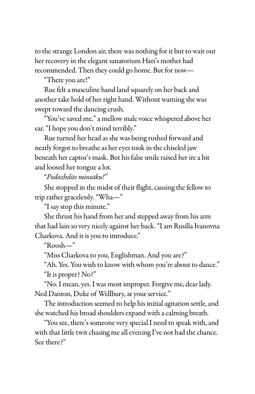to the strange London air, there was nothing for it but to wait out her recovery in the elegant sanatorium Hari's mother had recommended. Then they could go home. But for now—

"There you are!"

Rue felt a masculine hand land squarely on her back and another take hold of her right hand. Without warning she was swept toward the dancing crush.

"You've saved me," a mellow male voice whispered above her ear. "I hope you don't mind terribly."

Rue turned her head as she was being rushed forward and nearly forgot to breathe as her eyes took in the chiseled jaw beneath her captor's mask. But his false smile raised her ire a bit and loosed her tongue a lot.

"*Podozhdite minutku!"* 

She stopped in the midst of their flight, causing the fellow to trip rather gracelessly. "Wha—"

"I say stop this minute."

She thrust his hand from her and stepped away from his arm that had lain so very nicely against her back. "I am Rusilla Ivanovna Charkova. And it is you to introduce."

"Roosh—"

"Miss Charkova to you, Englishman. And you are?"

"Ah. Yes. You wish to know with whom you're about to dance." "It is proper? No?"

"No. I mean, yes. I was most improper. Forgive me, dear lady. Ned Danton, Duke of Wellbury, at your service."

The introduction seemed to help his initial agitation settle, and she watched his broad shoulders expand with a calming breath.

"You see, there's someone very special I need to speak with, and with that little twit chasing me all evening I've not had the chance. See there?"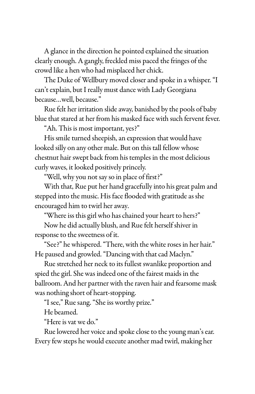A glance in the direction he pointed explained the situation clearly enough. A gangly, freckled miss paced the fringes of the crowd like a hen who had misplaced her chick.

The Duke of Wellbury moved closer and spoke in a whisper. "I can't explain, but I really must dance with Lady Georgiana because…well, because."

Rue felt her irritation slide away, banished by the pools of baby blue that stared at her from his masked face with such fervent fever.

"Ah. This is most important, yes?"

His smile turned sheepish, an expression that would have looked silly on any other male. But on this tall fellow whose chestnut hair swept back from his temples in the most delicious curly waves, it looked positively princely.

"Well, why you not say so in place of first?"

With that, Rue put her hand gracefully into his great palm and stepped into the music. His face flooded with gratitude as she encouraged him to twirl her away.

"Where iss this girl who has chained your heart to hers?"

Now he did actually blush, and Rue felt herself shiver in response to the sweetness of it.

"See?" he whispered. "There, with the white roses in her hair." He paused and growled. "Dancing with that cad Maclyn."

Rue stretched her neck to its fullest swanlike proportion and spied the girl. She was indeed one of the fairest maids in the ballroom. And her partner with the raven hair and fearsome mask was nothing short of heart-stopping.

"I see," Rue sang. "She iss worthy prize."

He beamed.

"Here is vat we do."

Rue lowered her voice and spoke close to the young man's ear. Every few steps he would execute another mad twirl, making her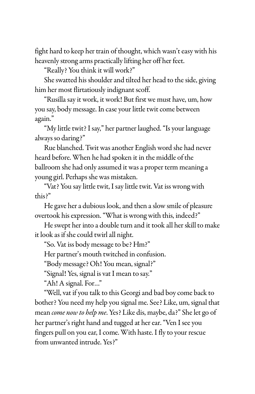fight hard to keep her train of thought, which wasn't easy with his heavenly strong arms practically lifting her off her feet.

"Really? You think it will work?"

She swatted his shoulder and tilted her head to the side, giving him her most flirtatiously indignant scoff.

"Rusilla say it work, it work! But first we must have, um, how you say, body message. In case your little twit come between again."

"My little twit? I say," her partner laughed. "Is your language always so daring?"

Rue blanched. Twit was another English word she had never heard before. When he had spoken it in the middle of the ballroom she had only assumed it was a proper term meaning a young girl. Perhaps she was mistaken.

"Vat? You say little twit, I say little twit. Vat iss wrong with this?"

He gave her a dubious look, and then a slow smile of pleasure overtook his expression. "What is wrong with this, indeed?"

He swept her into a double turn and it took all her skill to make it look as if she could twirl all night.

"So. Vat iss body message to be? Hm?"

Her partner's mouth twitched in confusion.

"Body message? Oh! You mean, signal?"

"Signal! Yes, signal is vat I mean to say."

"Ah! A signal. For…"

"Well, vat if you talk to this Georgi and bad boy come back to bother? You need my help you signal me. See? Like, um, signal that mean *come now to help me*. Yes? Like dis, maybe, da?" She let go of her partner's right hand and tugged at her ear. "Ven I see you fingers pull on you ear, I come. With haste. I fly to your rescue from unwanted intrude. Yes?"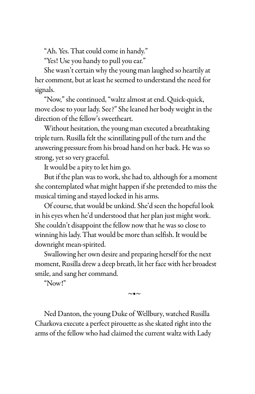"Ah. Yes. That could come in handy."

"Yes! Use you handy to pull you ear."

She wasn't certain why the young man laughed so heartily at her comment, but at least he seemed to understand the need for signals.

"Now," she continued, "waltz almost at end. Quick-quick, move close to your lady. See?" She leaned her body weight in the direction of the fellow's sweetheart.

Without hesitation, the young man executed a breathtaking triple turn. Rusilla felt the scintillating pull of the turn and the answering pressure from his broad hand on her back. He was so strong, yet so very graceful.

It would be a pity to let him go.

But if the plan was to work, she had to, although for a moment she contemplated what might happen if she pretended to miss the musical timing and stayed locked in his arms.

Of course, that would be unkind. She'd seen the hopeful look in his eyes when he'd understood that her plan just might work. She couldn't disappoint the fellow now that he was so close to winning his lady. That would be more than selfish. It would be downright mean-spirited.

Swallowing her own desire and preparing herself for the next moment, Rusilla drew a deep breath, lit her face with her broadest smile, and sang her command.

"Now!"

 $~\sim$ ■ $~\sim$ 

Ned Danton, the young Duke of Wellbury, watched Rusilla Charkova execute a perfect pirouette as she skated right into the arms of the fellow who had claimed the current waltz with Lady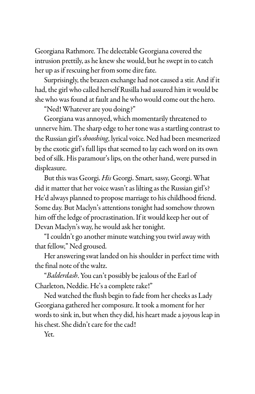Georgiana Rathmore. The delectable Georgiana covered the intrusion prettily, as he knew she would, but he swept in to catch her up as if rescuing her from some dire fate.

Surprisingly, the brazen exchange had not caused a stir. And if it had, the girl who called herself Rusilla had assured him it would be she who was found at fault and he who would come out the hero.

"Ned! Whatever are you doing?"

Georgiana was annoyed, which momentarily threatened to unnerve him. The sharp edge to her tone was a startling contrast to the Russian girl's *shooshing*, lyrical voice. Ned had been mesmerized by the exotic girl's full lips that seemed to lay each word on its own bed of silk. His paramour's lips, on the other hand, were pursed in displeasure.

But this was Georgi. *His* Georgi. Smart, sassy, Georgi. What did it matter that her voice wasn't as lilting as the Russian girl's? He'd always planned to propose marriage to his childhood friend. Some day. But Maclyn's attentions tonight had somehow thrown him off the ledge of procrastination. If it would keep her out of Devan Maclyn's way, he would ask her tonight.

"I couldn't go another minute watching you twirl away with that fellow," Ned groused.

Her answering swat landed on his shoulder in perfect time with the final note of the waltz.

"*Balderdash*. You can't possibly be jealous of the Earl of Charleton, Neddie. He's a complete rake!"

Ned watched the flush begin to fade from her cheeks as Lady Georgiana gathered her composure. It took a moment for her words to sink in, but when they did, his heart made a joyous leap in his chest. She didn't care for the cad!

Yet.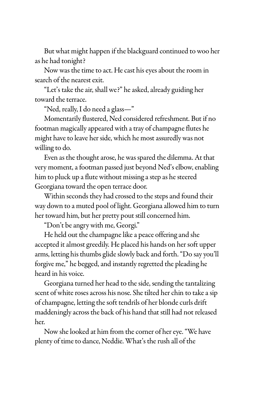But what might happen if the blackguard continued to woo her as he had tonight?

Now was the time to act. He cast his eyes about the room in search of the nearest exit.

"Let's take the air, shall we?" he asked, already guiding her toward the terrace.

"Ned, really, I do need a glass—"

Momentarily flustered, Ned considered refreshment. But if no footman magically appeared with a tray of champagne flutes he might have to leave her side, which he most assuredly was not willing to do.

Even as the thought arose, he was spared the dilemma. At that very moment, a footman passed just beyond Ned's elbow, enabling him to pluck up a flute without missing a step as he steered Georgiana toward the open terrace door.

Within seconds they had crossed to the steps and found their way down to a muted pool of light. Georgiana allowed him to turn her toward him, but her pretty pout still concerned him.

"Don't be angry with me, Georgi."

He held out the champagne like a peace offering and she accepted it almost greedily. He placed his hands on her soft upper arms, letting his thumbs glide slowly back and forth. "Do say you'll forgive me," he begged, and instantly regretted the pleading he heard in his voice.

Georgiana turned her head to the side, sending the tantalizing scent of white roses across his nose. She tilted her chin to take a sip of champagne, letting the soft tendrils of her blonde curls drift maddeningly across the back of his hand that still had not released her.

Now she looked at him from the corner of her eye. "We have plenty of time to dance, Neddie. What's the rush all of the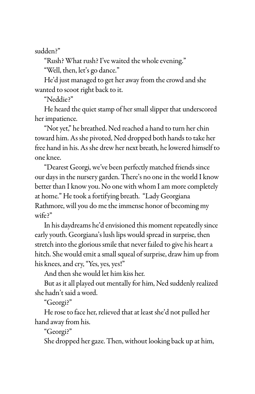sudden?"

"Rush? What rush? I've waited the whole evening."

"Well, then, let's go dance."

He'd just managed to get her away from the crowd and she wanted to scoot right back to it.

"Neddie?"

He heard the quiet stamp of her small slipper that underscored her impatience.

"Not yet," he breathed. Ned reached a hand to turn her chin toward him. As she pivoted, Ned dropped both hands to take her free hand in his. As she drew her next breath, he lowered himself to one knee.

"Dearest Georgi, we've been perfectly matched friends since our days in the nursery garden. There's no one in the world I know better than I know you. No one with whom I am more completely at home." He took a fortifying breath. "Lady Georgiana Rathmore, will you do me the immense honor of becoming my wife?"

In his daydreams he'd envisioned this moment repeatedly since early youth. Georgiana's lush lips would spread in surprise, then stretch into the glorious smile that never failed to give his heart a hitch. She would emit a small squeal of surprise, draw him up from his knees, and cry, "Yes, yes, yes!"

And then she would let him kiss her.

But as it all played out mentally for him, Ned suddenly realized she hadn't said a word.

"Georgi?"

He rose to face her, relieved that at least she'd not pulled her hand away from his.

"Georgi?"

She dropped her gaze. Then, without looking back up at him,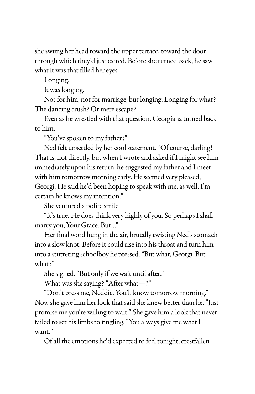she swung her head toward the upper terrace, toward the door through which they'd just exited. Before she turned back, he saw what it was that filled her eyes.

Longing.

It was longing.

Not for him, not for marriage, but longing. Longing for what? The dancing crush? Or mere escape?

Even as he wrestled with that question, Georgiana turned back to him.

"You've spoken to my father?"

Ned felt unsettled by her cool statement. "Of course, darling! That is, not directly, but when I wrote and asked if I might see him immediately upon his return, he suggested my father and I meet with him tomorrow morning early. He seemed very pleased, Georgi. He said he'd been hoping to speak with me, as well. I'm certain he knows my intention."

She ventured a polite smile.

"It's true. He does think very highly of you. So perhaps I shall marry you, Your Grace. But…"

Her final word hung in the air, brutally twisting Ned's stomach into a slow knot. Before it could rise into his throat and turn him into a stuttering schoolboy he pressed. "But what, Georgi. But what?"

She sighed. "But only if we wait until after."

What was she saying? "After what—?"

"Don't press me, Neddie. You'll know tomorrow morning." Now she gave him her look that said she knew better than he. "Just promise me you're willing to wait." She gave him a look that never failed to set his limbs to tingling. "You always give me what I want."

Of all the emotions he'd expected to feel tonight, crestfallen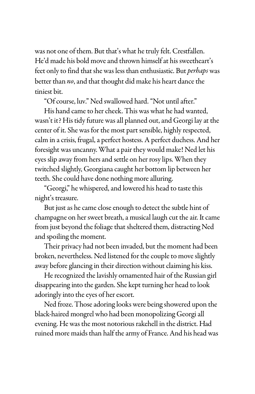was not one of them. But that's what he truly felt. Crestfallen. He'd made his bold move and thrown himself at his sweetheart's feet only to find that she was less than enthusiastic. But *perhaps* was better than *no*, and that thought did make his heart dance the tiniest bit.

"Of course, luv." Ned swallowed hard. "Not until after."

His hand came to her cheek. This was what he had wanted, wasn't it? His tidy future was all planned out, and Georgi lay at the center of it. She was for the most part sensible, highly respected, calm in a crisis, frugal, a perfect hostess. A perfect duchess. And her foresight was uncanny. What a pair they would make! Ned let his eyes slip away from hers and settle on her rosy lips. When they twitched slightly, Georgiana caught her bottom lip between her teeth. She could have done nothing more alluring.

"Georgi," he whispered, and lowered his head to taste this night's treasure.

But just as he came close enough to detect the subtle hint of champagne on her sweet breath, a musical laugh cut the air. It came from just beyond the foliage that sheltered them, distracting Ned and spoiling the moment.

Their privacy had not been invaded, but the moment had been broken, nevertheless. Ned listened for the couple to move slightly away before glancing in their direction without claiming his kiss.

He recognized the lavishly ornamented hair of the Russian girl disappearing into the garden. She kept turning her head to look adoringly into the eyes of her escort.

Ned froze. Those adoring looks were being showered upon the black-haired mongrel who had been monopolizing Georgi all evening. He was the most notorious rakehell in the district. Had ruined more maids than half the army of France. And his head was